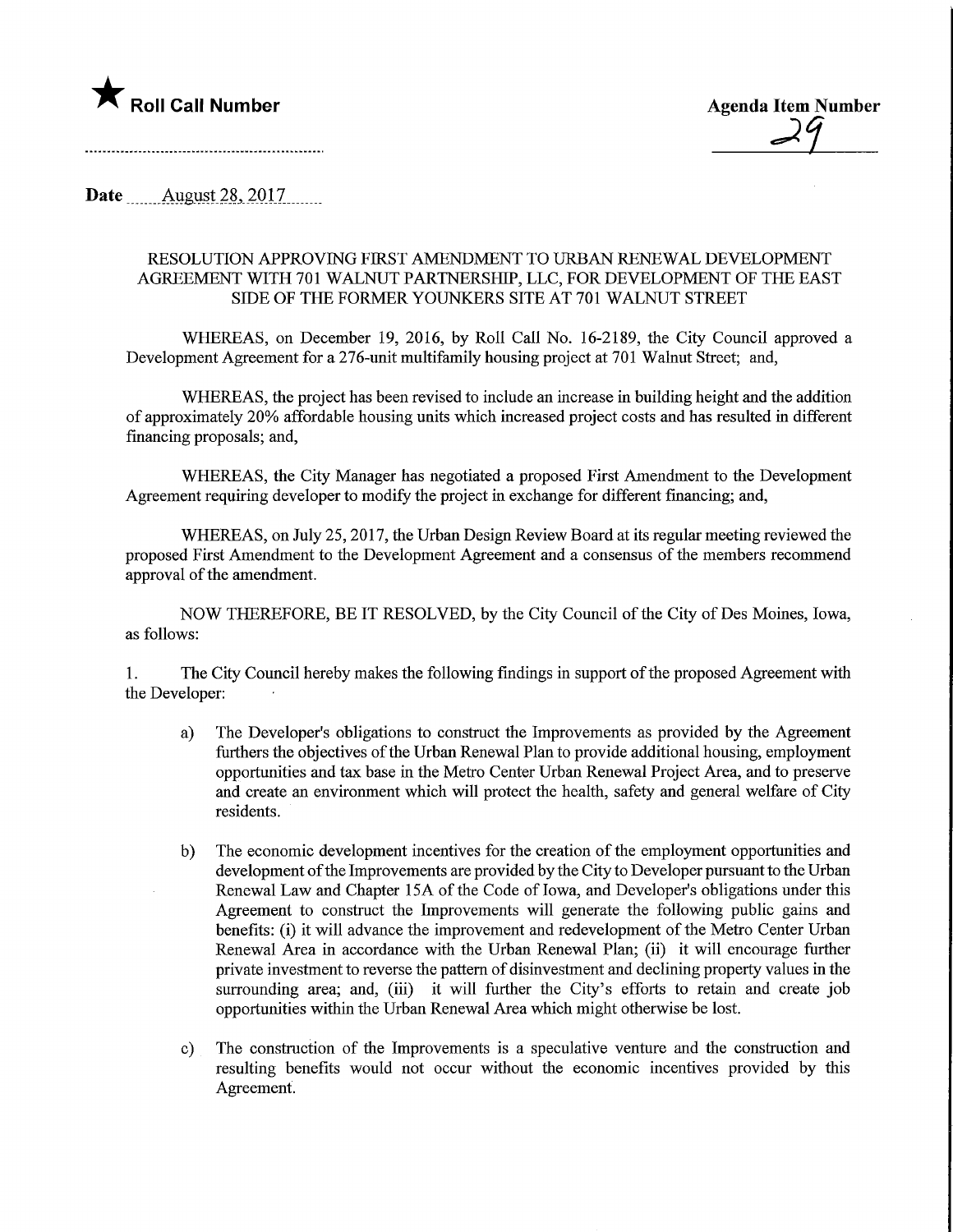

**Date** August 28, 2017

## RESOLUTION APPROVING FIRST AMENDMENT TO URBAN RENEWAL DEVELOPMENT AGREEMENT WITH 701 WALNUT PARTNERSHIP, LLC, FOR DEVELOPMENT OF THE EAST SIDE OF THE FORMER YOUNKERS SITE AT 701 WALNUT STREET

WHEREAS, on December 19, 2016, by Roll Call No. 16-2189, the City Council approved a Development Agreement for a 276-unit multifamily housing project at 701 Walnut Street; and,

WHEREAS, the project has been revised to include an increase in building height and the addition of approximately 20% affordable housing units which increased project costs and has resulted in different financing proposals; and,

WHEREAS, the City Manager has negotiated a proposed First Amendment to the Development Agreement requiring developer to modify the project in exchange for different financing; and,

WHEREAS, on July 25,2017, the Urban Design Review Board at its regular meeting reviewed the proposed First Amendment to the Development Agreement and a consensus of the members recommend approval of the amendment.

NOW THEREFORE, BE IT RESOLVED, by the City Council of the City of Des Moines, Iowa, as follows:

1. The City Council hereby makes the following findings in support of the proposed Agreement with the Developer:

- a) The Developer's obligations to construct the Improvements as provided by the Agreement furthers the objectives of the Urban Renewal Plan to provide additional housing, employment opportunities and tax base in the Metro Center Urban Renewal Project Area, and to preserve and create an environment which will protect the health, safety and general welfare of City residents.
- b) The economic development incentives for the creation of the employment opportunities and development of the Improvements are provided by the City to Developer pursuant to the Urban Renewal Law and Chapter 15A of the Code of Iowa, and Developer's obligations under this Agreement to constmct the Improvements will generate the following public gains and benefits: (i) it will advance the improvement and redevelopment of the Metro Center Urban Renewal Area in accordance with the Urban Renewal Plan; (ii) it will encourage further private investment to reverse the pattern of disinvestment and declining property values in the surrounding area; and, (iii) it will further the City's efforts to retain and create job opportunities within the Urban Renewal Area which might otherwise be lost.
- c) The construction of the Improvements is a speculative venture and the construction and resulting benefits would not occur without the economic incentives provided by this Agreement.